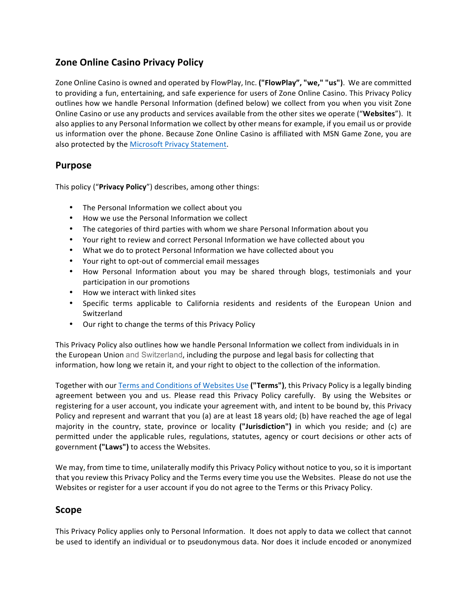# **Zone Online Casino Privacy Policy**

Zone Online Casino is owned and operated by FlowPlay, Inc. ("FlowPlay", "we," "us"). We are committed to providing a fun, entertaining, and safe experience for users of Zone Online Casino. This Privacy Policy outlines how we handle Personal Information (defined below) we collect from you when you visit Zone Online Casino or use any products and services available from the other sites we operate ("Websites"). It also applies to any Personal Information we collect by other means for example, if you email us or provide us information over the phone. Because Zone Online Casino is affiliated with MSN Game Zone, you are also protected by the Microsoft Privacy Statement.

### **Purpose**

This policy ("**Privacy Policy**") describes, among other things:

- The Personal Information we collect about you
- How we use the Personal Information we collect
- The categories of third parties with whom we share Personal Information about you
- Your right to review and correct Personal Information we have collected about you
- What we do to protect Personal Information we have collected about you
- Your right to opt-out of commercial email messages
- How Personal Information about you may be shared through blogs, testimonials and your participation in our promotions
- How we interact with linked sites
- Specific terms applicable to California residents and residents of the European Union and Switzerland
- Our right to change the terms of this Privacy Policy

This Privacy Policy also outlines how we handle Personal Information we collect from individuals in in the European Union and Switzerland, including the purpose and legal basis for collecting that information, how long we retain it, and your right to object to the collection of the information.

Together with our Terms and Conditions of Websites Use ("Terms"), this Privacy Policy is a legally binding agreement between you and us. Please read this Privacy Policy carefully. By using the Websites or registering for a user account, you indicate your agreement with, and intent to be bound by, this Privacy Policy and represent and warrant that you (a) are at least 18 years old; (b) have reached the age of legal majority in the country, state, province or locality ("Jurisdiction") in which you reside; and (c) are permitted under the applicable rules, regulations, statutes, agency or court decisions or other acts of government ("Laws") to access the Websites.

We may, from time to time, unilaterally modify this Privacy Policy without notice to you, so it is important that you review this Privacy Policy and the Terms every time you use the Websites. Please do not use the Websites or register for a user account if you do not agree to the Terms or this Privacy Policy.

#### **Scope**

This Privacy Policy applies only to Personal Information. It does not apply to data we collect that cannot be used to identify an individual or to pseudonymous data. Nor does it include encoded or anonymized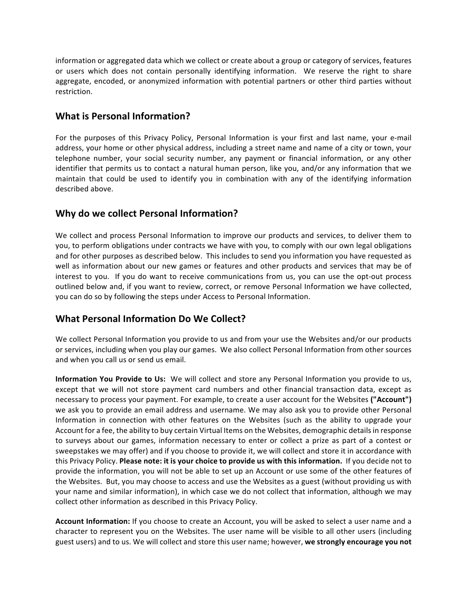information or aggregated data which we collect or create about a group or category of services, features or users which does not contain personally identifying information. We reserve the right to share aggregate, encoded, or anonymized information with potential partners or other third parties without restriction.

# **What is Personal Information?**

For the purposes of this Privacy Policy, Personal Information is your first and last name, your e-mail address, your home or other physical address, including a street name and name of a city or town, your telephone number, your social security number, any payment or financial information, or any other identifier that permits us to contact a natural human person, like you, and/or any information that we maintain that could be used to identify you in combination with any of the identifying information described above.

# **Why do we collect Personal Information?**

We collect and process Personal Information to improve our products and services, to deliver them to you, to perform obligations under contracts we have with you, to comply with our own legal obligations and for other purposes as described below. This includes to send you information you have requested as well as information about our new games or features and other products and services that may be of interest to you. If you do want to receive communications from us, you can use the opt-out process outlined below and, if you want to review, correct, or remove Personal Information we have collected, you can do so by following the steps under Access to Personal Information.

# **What Personal Information Do We Collect?**

We collect Personal Information you provide to us and from your use the Websites and/or our products or services, including when you play our games. We also collect Personal Information from other sources and when you call us or send us email.

**Information You Provide to Us:** We will collect and store any Personal Information you provide to us, except that we will not store payment card numbers and other financial transaction data, except as necessary to process your payment. For example, to create a user account for the Websites ("Account") we ask you to provide an email address and username. We may also ask you to provide other Personal Information in connection with other features on the Websites (such as the ability to upgrade your Account for a fee, the ability to buy certain Virtual Items on the Websites, demographic details in response to surveys about our games, information necessary to enter or collect a prize as part of a contest or sweepstakes we may offer) and if you choose to provide it, we will collect and store it in accordance with this Privacy Policy. Please note: it is your choice to provide us with this information. If you decide not to provide the information, you will not be able to set up an Account or use some of the other features of the Websites. But, you may choose to access and use the Websites as a guest (without providing us with your name and similar information), in which case we do not collect that information, although we may collect other information as described in this Privacy Policy.

**Account Information:** If you choose to create an Account, you will be asked to select a user name and a character to represent you on the Websites. The user name will be visible to all other users (including guest users) and to us. We will collect and store this user name; however, we strongly encourage you not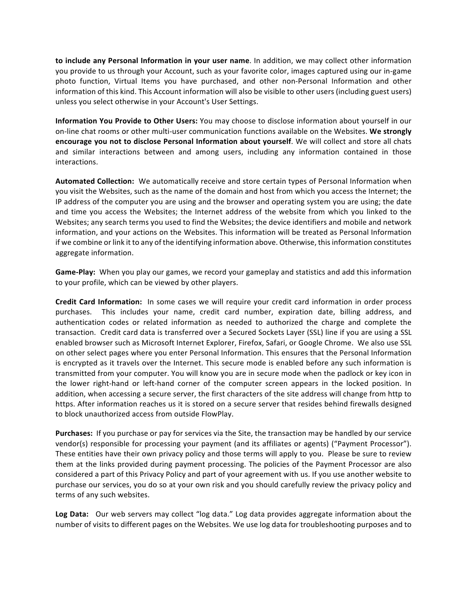to include any Personal Information in your user name. In addition, we may collect other information you provide to us through your Account, such as your favorite color, images captured using our in-game photo function, Virtual Items you have purchased, and other non-Personal Information and other information of this kind. This Account information will also be visible to other users (including guest users) unless you select otherwise in your Account's User Settings.

**Information You Provide to Other Users:** You may choose to disclose information about yourself in our on-line chat rooms or other multi-user communication functions available on the Websites. We strongly encourage you not to disclose Personal Information about yourself. We will collect and store all chats and similar interactions between and among users, including any information contained in those interactions.

**Automated Collection:** We automatically receive and store certain types of Personal Information when you visit the Websites, such as the name of the domain and host from which you access the Internet; the IP address of the computer you are using and the browser and operating system you are using; the date and time you access the Websites; the Internet address of the website from which you linked to the Websites; any search terms you used to find the Websites; the device identifiers and mobile and network information, and your actions on the Websites. This information will be treated as Personal Information if we combine or link it to any of the identifying information above. Otherwise, this information constitutes aggregate information.

Game-Play: When you play our games, we record your gameplay and statistics and add this information to your profile, which can be viewed by other players.

**Credit Card Information:** In some cases we will require your credit card information in order process purchases. This includes your name, credit card number, expiration date, billing address, and authentication codes or related information as needed to authorized the charge and complete the transaction. Credit card data is transferred over a Secured Sockets Layer (SSL) line if you are using a SSL enabled browser such as Microsoft Internet Explorer, Firefox, Safari, or Google Chrome. We also use SSL on other select pages where you enter Personal Information. This ensures that the Personal Information is encrypted as it travels over the Internet. This secure mode is enabled before any such information is transmitted from your computer. You will know you are in secure mode when the padlock or key icon in the lower right-hand or left-hand corner of the computer screen appears in the locked position. In addition, when accessing a secure server, the first characters of the site address will change from http to https. After information reaches us it is stored on a secure server that resides behind firewalls designed to block unauthorized access from outside FlowPlay.

**Purchases:** If you purchase or pay for services via the Site, the transaction may be handled by our service vendor(s) responsible for processing your payment (and its affiliates or agents) ("Payment Processor"). These entities have their own privacy policy and those terms will apply to you. Please be sure to review them at the links provided during payment processing. The policies of the Payment Processor are also considered a part of this Privacy Policy and part of your agreement with us. If you use another website to purchase our services, you do so at your own risk and you should carefully review the privacy policy and terms of any such websites.

**Log Data:** Our web servers may collect "log data." Log data provides aggregate information about the number of visits to different pages on the Websites. We use log data for troubleshooting purposes and to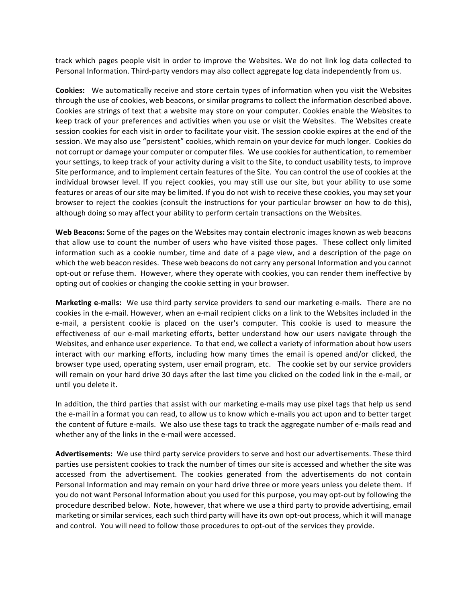track which pages people visit in order to improve the Websites. We do not link log data collected to Personal Information. Third-party vendors may also collect aggregate log data independently from us.

**Cookies:** We automatically receive and store certain types of information when you visit the Websites through the use of cookies, web beacons, or similar programs to collect the information described above. Cookies are strings of text that a website may store on your computer. Cookies enable the Websites to keep track of your preferences and activities when you use or visit the Websites. The Websites create session cookies for each visit in order to facilitate your visit. The session cookie expires at the end of the session. We may also use "persistent" cookies, which remain on your device for much longer. Cookies do not corrupt or damage your computer or computer files. We use cookies for authentication, to remember your settings, to keep track of your activity during a visit to the Site, to conduct usability tests, to improve Site performance, and to implement certain features of the Site. You can control the use of cookies at the individual browser level. If you reject cookies, you may still use our site, but your ability to use some features or areas of our site may be limited. If you do not wish to receive these cookies, you may set your browser to reject the cookies (consult the instructions for your particular browser on how to do this), although doing so may affect your ability to perform certain transactions on the Websites.

**Web Beacons:** Some of the pages on the Websites may contain electronic images known as web beacons that allow use to count the number of users who have visited those pages. These collect only limited information such as a cookie number, time and date of a page view, and a description of the page on which the web beacon resides. These web beacons do not carry any personal Information and you cannot opt-out or refuse them. However, where they operate with cookies, you can render them ineffective by opting out of cookies or changing the cookie setting in your browser.

**Marketing e-mails:** We use third party service providers to send our marketing e-mails. There are no cookies in the e-mail. However, when an e-mail recipient clicks on a link to the Websites included in the e-mail, a persistent cookie is placed on the user's computer. This cookie is used to measure the effectiveness of our e-mail marketing efforts, better understand how our users navigate through the Websites, and enhance user experience. To that end, we collect a variety of information about how users interact with our marking efforts, including how many times the email is opened and/or clicked, the browser type used, operating system, user email program, etc. The cookie set by our service providers will remain on your hard drive 30 days after the last time you clicked on the coded link in the e-mail, or until you delete it.

In addition, the third parties that assist with our marketing e-mails may use pixel tags that help us send the e-mail in a format you can read, to allow us to know which e-mails you act upon and to better target the content of future e-mails. We also use these tags to track the aggregate number of e-mails read and whether any of the links in the e-mail were accessed.

Advertisements: We use third party service providers to serve and host our advertisements. These third parties use persistent cookies to track the number of times our site is accessed and whether the site was accessed from the advertisement. The cookies generated from the advertisements do not contain Personal Information and may remain on your hard drive three or more years unless you delete them. If you do not want Personal Information about you used for this purpose, you may opt-out by following the procedure described below. Note, however, that where we use a third party to provide advertising, email marketing or similar services, each such third party will have its own opt-out process, which it will manage and control. You will need to follow those procedures to opt-out of the services they provide.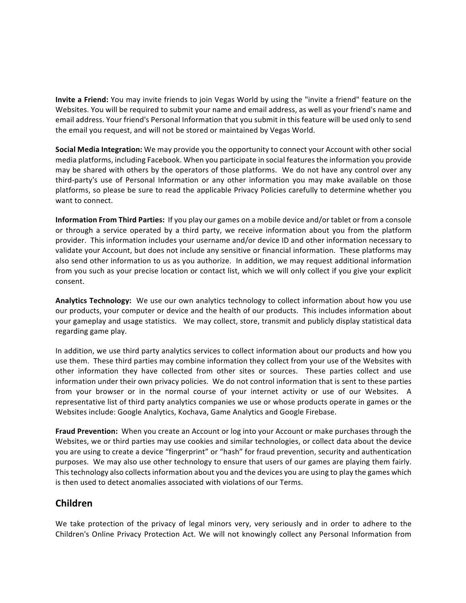**Invite a Friend:** You may invite friends to join Vegas World by using the "invite a friend" feature on the Websites. You will be required to submit your name and email address, as well as your friend's name and email address. Your friend's Personal Information that you submit in this feature will be used only to send the email you request, and will not be stored or maintained by Vegas World.

**Social Media Integration:** We may provide you the opportunity to connect your Account with other social media platforms, including Facebook. When you participate in social features the information you provide may be shared with others by the operators of those platforms. We do not have any control over any third-party's use of Personal Information or any other information you may make available on those platforms, so please be sure to read the applicable Privacy Policies carefully to determine whether you want to connect.

**Information From Third Parties:** If you play our games on a mobile device and/or tablet or from a console or through a service operated by a third party, we receive information about you from the platform provider. This information includes your username and/or device ID and other information necessary to validate your Account, but does not include any sensitive or financial information. These platforms may also send other information to us as you authorize. In addition, we may request additional information from you such as your precise location or contact list, which we will only collect if you give your explicit consent.

**Analytics Technology:** We use our own analytics technology to collect information about how you use our products, your computer or device and the health of our products. This includes information about your gameplay and usage statistics. We may collect, store, transmit and publicly display statistical data regarding game play.

In addition, we use third party analytics services to collect information about our products and how you use them. These third parties may combine information they collect from your use of the Websites with other information they have collected from other sites or sources. These parties collect and use information under their own privacy policies. We do not control information that is sent to these parties from your browser or in the normal course of your internet activity or use of our Websites. A representative list of third party analytics companies we use or whose products operate in games or the Websites include: Google Analytics, Kochava, Game Analytics and Google Firebase.

**Fraud Prevention:** When you create an Account or log into your Account or make purchases through the Websites, we or third parties may use cookies and similar technologies, or collect data about the device you are using to create a device "fingerprint" or "hash" for fraud prevention, security and authentication purposes. We may also use other technology to ensure that users of our games are playing them fairly. This technology also collects information about you and the devices you are using to play the games which is then used to detect anomalies associated with violations of our Terms.

# **Children**

We take protection of the privacy of legal minors very, very seriously and in order to adhere to the Children's Online Privacy Protection Act. We will not knowingly collect any Personal Information from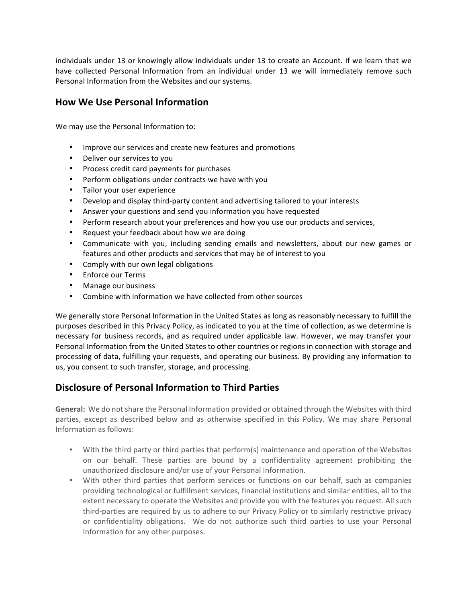individuals under 13 or knowingly allow individuals under 13 to create an Account. If we learn that we have collected Personal Information from an individual under 13 we will immediately remove such Personal Information from the Websites and our systems.

### **How We Use Personal Information**

We may use the Personal Information to:

- Improve our services and create new features and promotions
- Deliver our services to you
- Process credit card payments for purchases
- Perform obligations under contracts we have with you
- Tailor your user experience
- Develop and display third-party content and advertising tailored to your interests
- Answer your questions and send you information you have requested
- Perform research about your preferences and how you use our products and services,
- Request your feedback about how we are doing
- Communicate with you, including sending emails and newsletters, about our new games or features and other products and services that may be of interest to you
- Comply with our own legal obligations
- Enforce our Terms
- Manage our business
- Combine with information we have collected from other sources

We generally store Personal Information in the United States as long as reasonably necessary to fulfill the purposes described in this Privacy Policy, as indicated to you at the time of collection, as we determine is necessary for business records, and as required under applicable law. However, we may transfer your Personal Information from the United States to other countries or regions in connection with storage and processing of data, fulfilling your requests, and operating our business. By providing any information to us, you consent to such transfer, storage, and processing.

# **Disclosure of Personal Information to Third Parties**

General: We do not share the Personal Information provided or obtained through the Websites with third parties, except as described below and as otherwise specified in this Policy. We may share Personal Information as follows:

- With the third party or third parties that perform(s) maintenance and operation of the Websites on our behalf. These parties are bound by a confidentiality agreement prohibiting the unauthorized disclosure and/or use of your Personal Information.
- With other third parties that perform services or functions on our behalf, such as companies providing technological or fulfillment services, financial institutions and similar entities, all to the extent necessary to operate the Websites and provide you with the features you request. All such third-parties are required by us to adhere to our Privacy Policy or to similarly restrictive privacy or confidentiality obligations. We do not authorize such third parties to use your Personal Information for any other purposes.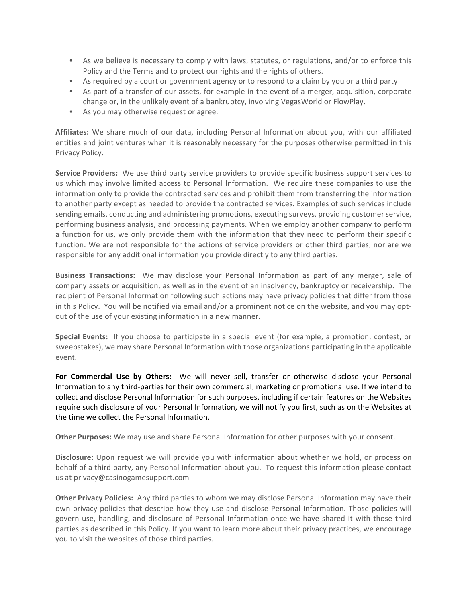- As we believe is necessary to comply with laws, statutes, or regulations, and/or to enforce this Policy and the Terms and to protect our rights and the rights of others.
- As required by a court or government agency or to respond to a claim by you or a third party
- As part of a transfer of our assets, for example in the event of a merger, acquisition, corporate change or, in the unlikely event of a bankruptcy, involving VegasWorld or FlowPlay.
- As you may otherwise request or agree.

Affiliates: We share much of our data, including Personal Information about you, with our affiliated entities and joint ventures when it is reasonably necessary for the purposes otherwise permitted in this Privacy Policy.

**Service Providers:** We use third party service providers to provide specific business support services to us which may involve limited access to Personal Information. We require these companies to use the information only to provide the contracted services and prohibit them from transferring the information to another party except as needed to provide the contracted services. Examples of such services include sending emails, conducting and administering promotions, executing surveys, providing customer service, performing business analysis, and processing payments. When we employ another company to perform a function for us, we only provide them with the information that they need to perform their specific function. We are not responsible for the actions of service providers or other third parties, nor are we responsible for any additional information you provide directly to any third parties.

**Business Transactions:** We may disclose your Personal Information as part of any merger, sale of company assets or acquisition, as well as in the event of an insolvency, bankruptcy or receivership. The recipient of Personal Information following such actions may have privacy policies that differ from those in this Policy. You will be notified via email and/or a prominent notice on the website, and you may optout of the use of your existing information in a new manner.

**Special Events:** If you choose to participate in a special event (for example, a promotion, contest, or sweepstakes), we may share Personal Information with those organizations participating in the applicable event.

For Commercial Use by Others: We will never sell, transfer or otherwise disclose your Personal Information to any third-parties for their own commercial, marketing or promotional use. If we intend to collect and disclose Personal Information for such purposes, including if certain features on the Websites require such disclosure of your Personal Information, we will notify you first, such as on the Websites at the time we collect the Personal Information.

**Other Purposes:** We may use and share Personal Information for other purposes with your consent.

**Disclosure:** Upon request we will provide you with information about whether we hold, or process on behalf of a third party, any Personal Information about you. To request this information please contact us at privacy@casinogamesupport.com

**Other Privacy Policies:** Any third parties to whom we may disclose Personal Information may have their own privacy policies that describe how they use and disclose Personal Information. Those policies will govern use, handling, and disclosure of Personal Information once we have shared it with those third parties as described in this Policy. If you want to learn more about their privacy practices, we encourage you to visit the websites of those third parties.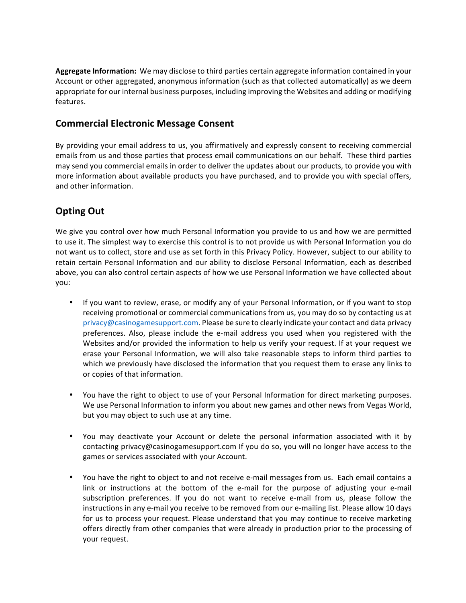Aggregate Information: We may disclose to third parties certain aggregate information contained in your Account or other aggregated, anonymous information (such as that collected automatically) as we deem appropriate for our internal business purposes, including improving the Websites and adding or modifying features.

## **Commercial Electronic Message Consent**

By providing your email address to us, you affirmatively and expressly consent to receiving commercial emails from us and those parties that process email communications on our behalf. These third parties may send you commercial emails in order to deliver the updates about our products, to provide you with more information about available products you have purchased, and to provide you with special offers, and other information.

# **Opting Out**

We give you control over how much Personal Information you provide to us and how we are permitted to use it. The simplest way to exercise this control is to not provide us with Personal Information you do not want us to collect, store and use as set forth in this Privacy Policy. However, subject to our ability to retain certain Personal Information and our ability to disclose Personal Information, each as described above, you can also control certain aspects of how we use Personal Information we have collected about you:

- If you want to review, erase, or modify any of your Personal Information, or if you want to stop receiving promotional or commercial communications from us, you may do so by contacting us at privacy@casinogamesupport.com. Please be sure to clearly indicate your contact and data privacy preferences. Also, please include the e-mail address you used when you registered with the Websites and/or provided the information to help us verify your request. If at your request we erase your Personal Information, we will also take reasonable steps to inform third parties to which we previously have disclosed the information that you request them to erase any links to or copies of that information.
- You have the right to object to use of your Personal Information for direct marketing purposes. We use Personal Information to inform you about new games and other news from Vegas World, but you may object to such use at any time.
- You may deactivate your Account or delete the personal information associated with it by contacting privacy@casinogamesupport.com If you do so, you will no longer have access to the games or services associated with your Account.
- You have the right to object to and not receive e-mail messages from us. Each email contains a link or instructions at the bottom of the e-mail for the purpose of adjusting your e-mail subscription preferences. If you do not want to receive e-mail from us, please follow the instructions in any e-mail you receive to be removed from our e-mailing list. Please allow 10 days for us to process your request. Please understand that you may continue to receive marketing offers directly from other companies that were already in production prior to the processing of your request.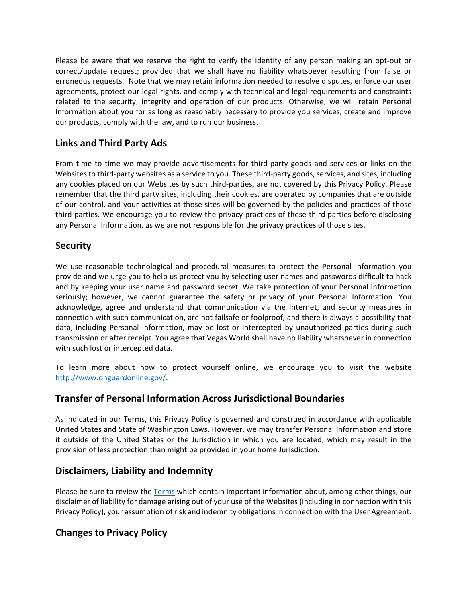Please be aware that we reserve the right to verify the identity of any person making an opt-out or correct/update request; provided that we shall have no liability whatsoever resulting from false or erroneous requests. Note that we may retain information needed to resolve disputes, enforce our user agreements, protect our legal rights, and comply with technical and legal requirements and constraints related to the security, integrity and operation of our products. Otherwise, we will retain Personal Information about you for as long as reasonably necessary to provide you services, create and improve our products, comply with the law, and to run our business.

# **Links and Third Party Ads**

From time to time we may provide advertisements for third-party goods and services or links on the Websites to third-party websites as a service to you. These third-party goods, services, and sites, including any cookies placed on our Websites by such third-parties, are not covered by this Privacy Policy. Please remember that the third party sites, including their cookies, are operated by companies that are outside of our control, and your activities at those sites will be governed by the policies and practices of those third parties. We encourage you to review the privacy practices of these third parties before disclosing any Personal Information, as we are not responsible for the privacy practices of those sites.

### **Security**

We use reasonable technological and procedural measures to protect the Personal Information you provide and we urge you to help us protect you by selecting user names and passwords difficult to hack and by keeping your user name and password secret. We take protection of your Personal Information seriously; however, we cannot guarantee the safety or privacy of your Personal Information. You acknowledge, agree and understand that communication via the Internet, and security measures in connection with such communication, are not failsafe or foolproof, and there is always a possibility that data, including Personal Information, may be lost or intercepted by unauthorized parties during such transmission or after receipt. You agree that Vegas World shall have no liability whatsoever in connection with such lost or intercepted data.

To learn more about how to protect yourself online, we encourage you to visit the website http://www.onguardonline.gov/.

# **Transfer of Personal Information Across Jurisdictional Boundaries**

As indicated in our Terms, this Privacy Policy is governed and construed in accordance with applicable United States and State of Washington Laws. However, we may transfer Personal Information and store it outside of the United States or the Jurisdiction in which you are located, which may result in the provision of less protection than might be provided in your home Jurisdiction.

# **Disclaimers, Liability and Indemnity**

Please be sure to review the [Terms](https://www.vegasworld.com/fx/legal/terms_ms.pdf) which contain important information about, among other things, our disclaimer of liability for damage arising out of your use of the Websites (including in connection with this Privacy Policy), your assumption of risk and indemnity obligations in connection with the User Agreement.

# **Changes to Privacy Policy**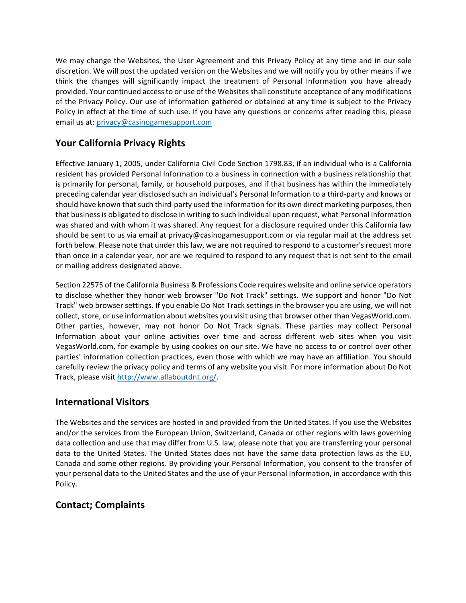We may change the Websites, the User Agreement and this Privacy Policy at any time and in our sole discretion. We will post the updated version on the Websites and we will notify you by other means if we think the changes will significantly impact the treatment of Personal Information you have already provided. Your continued access to or use of the Websites shall constitute acceptance of any modifications of the Privacy Policy. Our use of information gathered or obtained at any time is subject to the Privacy Policy in effect at the time of such use. If you have any questions or concerns after reading this, please email us at: privacy@casinogamesupport.com

# **Your California Privacy Rights**

Effective January 1, 2005, under California Civil Code Section 1798.83, if an individual who is a California resident has provided Personal Information to a business in connection with a business relationship that is primarily for personal, family, or household purposes, and if that business has within the immediately preceding calendar year disclosed such an individual's Personal Information to a third-party and knows or should have known that such third-party used the information for its own direct marketing purposes, then that business is obligated to disclose in writing to such individual upon request, what Personal Information was shared and with whom it was shared. Any request for a disclosure required under this California law should be sent to us via email at privacy@casinogamesupport.com or via regular mail at the address set forth below. Please note that under this law, we are not required to respond to a customer's request more than once in a calendar year, nor are we required to respond to any request that is not sent to the email or mailing address designated above.

Section 22575 of the California Business & Professions Code requires website and online service operators to disclose whether they honor web browser "Do Not Track" settings. We support and honor "Do Not Track" web browser settings. If you enable Do Not Track settings in the browser you are using, we will not collect, store, or use information about websites you visit using that browser other than VegasWorld.com. Other parties, however, may not honor Do Not Track signals. These parties may collect Personal Information about your online activities over time and across different web sites when you visit VegasWorld.com, for example by using cookies on our site. We have no access to or control over other parties' information collection practices, even those with which we may have an affiliation. You should carefully review the privacy policy and terms of any website you visit. For more information about Do Not Track, please visit http://www.allaboutdnt.org/.

# **International Visitors**

The Websites and the services are hosted in and provided from the United States. If you use the Websites and/or the services from the European Union, Switzerland, Canada or other regions with laws governing data collection and use that may differ from U.S. law, please note that you are transferring your personal data to the United States. The United States does not have the same data protection laws as the EU, Canada and some other regions. By providing your Personal Information, you consent to the transfer of your personal data to the United States and the use of your Personal Information, in accordance with this Policy.

# **Contact; Complaints**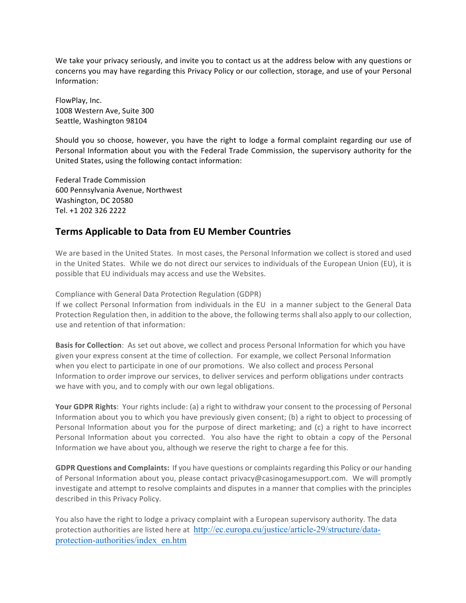We take your privacy seriously, and invite you to contact us at the address below with any questions or concerns you may have regarding this Privacy Policy or our collection, storage, and use of your Personal Information:

FlowPlay, Inc. 1008 Western Ave, Suite 300 Seattle, Washington 98104

Should you so choose, however, you have the right to lodge a formal complaint regarding our use of Personal Information about you with the Federal Trade Commission, the supervisory authority for the United States, using the following contact information:

Federal Trade Commission 600 Pennsylvania Avenue, Northwest Washington, DC 20580 Tel. +1 202 326 2222

### **Terms Applicable to Data from EU Member Countries**

We are based in the United States. In most cases, the Personal Information we collect is stored and used in the United States. While we do not direct our services to individuals of the European Union (EU), it is possible that EU individuals may access and use the Websites.

Compliance with General Data Protection Regulation (GDPR)

If we collect Personal Information from individuals in the EU in a manner subject to the General Data Protection Regulation then, in addition to the above, the following terms shall also apply to our collection, use and retention of that information:

**Basis for Collection**: As set out above, we collect and process Personal Information for which you have given your express consent at the time of collection. For example, we collect Personal Information when you elect to participate in one of our promotions. We also collect and process Personal Information to order improve our services, to deliver services and perform obligations under contracts we have with you, and to comply with our own legal obligations.

**Your GDPR Rights**: Your rights include: (a) a right to withdraw your consent to the processing of Personal Information about you to which you have previously given consent; (b) a right to object to processing of Personal Information about you for the purpose of direct marketing; and (c) a right to have incorrect Personal Information about you corrected. You also have the right to obtain a copy of the Personal Information we have about you, although we reserve the right to charge a fee for this.

**GDPR Questions and Complaints:** If you have questions or complaints regarding this Policy or our handing of Personal Information about you, please contact privacy@casinogamesupport.com. We will promptly investigate and attempt to resolve complaints and disputes in a manner that complies with the principles described in this Privacy Policy.

You also have the right to lodge a privacy complaint with a European supervisory authority. The data protection authorities are listed here at http://ec.europa.eu/justice/article-29/structure/dataprotection-authorities/index\_en.htm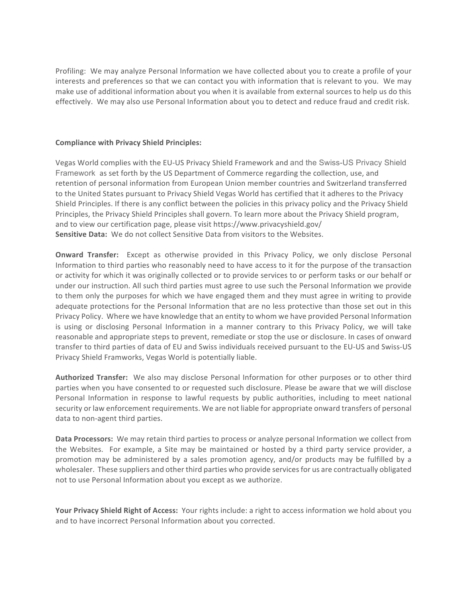Profiling: We may analyze Personal Information we have collected about you to create a profile of your interests and preferences so that we can contact you with information that is relevant to you. We may make use of additional information about you when it is available from external sources to help us do this effectively. We may also use Personal Information about you to detect and reduce fraud and credit risk.

#### **Compliance with Privacy Shield Principles:**

Vegas World complies with the EU-US Privacy Shield Framework and and the Swiss-US Privacy Shield Framework as set forth by the US Department of Commerce regarding the collection, use, and retention of personal information from European Union member countries and Switzerland transferred to the United States pursuant to Privacy Shield Vegas World has certified that it adheres to the Privacy Shield Principles. If there is any conflict between the policies in this privacy policy and the Privacy Shield Principles, the Privacy Shield Principles shall govern. To learn more about the Privacy Shield program, and to view our certification page, please visit https://www.privacyshield.gov/ **Sensitive Data:** We do not collect Sensitive Data from visitors to the Websites.

**Onward Transfer:** Except as otherwise provided in this Privacy Policy, we only disclose Personal Information to third parties who reasonably need to have access to it for the purpose of the transaction or activity for which it was originally collected or to provide services to or perform tasks or our behalf or under our instruction. All such third parties must agree to use such the Personal Information we provide to them only the purposes for which we have engaged them and they must agree in writing to provide adequate protections for the Personal Information that are no less protective than those set out in this Privacy Policy. Where we have knowledge that an entity to whom we have provided Personal Information is using or disclosing Personal Information in a manner contrary to this Privacy Policy, we will take reasonable and appropriate steps to prevent, remediate or stop the use or disclosure. In cases of onward transfer to third parties of data of EU and Swiss individuals received pursuant to the EU-US and Swiss-US Privacy Shield Framworks, Vegas World is potentially liable.

**Authorized Transfer:** We also may disclose Personal Information for other purposes or to other third parties when you have consented to or requested such disclosure. Please be aware that we will disclose Personal Information in response to lawful requests by public authorities, including to meet national security or law enforcement requirements. We are not liable for appropriate onward transfers of personal data to non-agent third parties.

**Data Processors:** We may retain third parties to process or analyze personal Information we collect from the Websites. For example, a Site may be maintained or hosted by a third party service provider, a promotion may be administered by a sales promotion agency, and/or products may be fulfilled by a wholesaler. These suppliers and other third parties who provide services for us are contractually obligated not to use Personal Information about you except as we authorize.

Your Privacy Shield Right of Access: Your rights include: a right to access information we hold about you and to have incorrect Personal Information about you corrected.